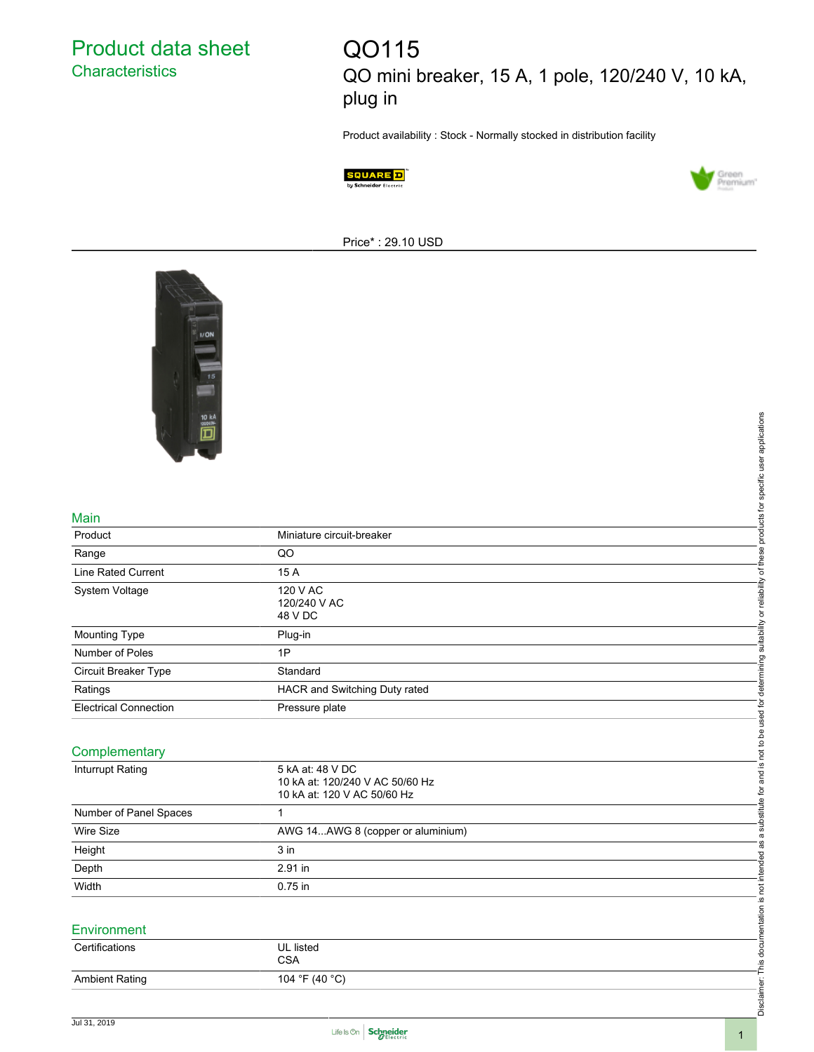## Product data sheet **Characteristics**

# QO115 QO mini breaker, 15 A, 1 pole, 120/240 V, 10 kA, plug in

Product availability : Stock - Normally stocked in distribution facility





Price\* : 29.10 USD



#### Main

| 10 kA                        |                                   |                                                                 |
|------------------------------|-----------------------------------|-----------------------------------------------------------------|
|                              |                                   |                                                                 |
|                              |                                   |                                                                 |
|                              |                                   |                                                                 |
|                              |                                   |                                                                 |
|                              |                                   |                                                                 |
| Main                         |                                   |                                                                 |
| Product                      | Miniature circuit-breaker         |                                                                 |
| Range                        | QO                                |                                                                 |
| <b>Line Rated Current</b>    | 15 A                              | or reliability of these products for specific user applications |
| System Voltage               | 120 V AC                          |                                                                 |
|                              | 120/240 V AC<br>48 V DC           |                                                                 |
|                              |                                   |                                                                 |
| Mounting Type                | Plug-in                           | suitability                                                     |
| Number of Poles              | 1P                                |                                                                 |
| Circuit Breaker Type         | Standard                          |                                                                 |
| Ratings                      | HACR and Switching Duty rated     |                                                                 |
| <b>Electrical Connection</b> | Pressure plate                    |                                                                 |
|                              |                                   |                                                                 |
| Complementary                |                                   |                                                                 |
| Inturrupt Rating             | 5 kA at: 48 V DC                  |                                                                 |
|                              | 10 kA at: 120/240 V AC 50/60 Hz   |                                                                 |
|                              | 10 kA at: 120 V AC 50/60 Hz       |                                                                 |
| Number of Panel Spaces       | $\mathbf{1}$                      | a substitute for and is not to be used for determining          |
| <b>Wire Size</b>             | AWG 14AWG 8 (copper or aluminium) |                                                                 |
| Height                       | 3 in                              | as                                                              |
| Depth                        | 2.91 in                           | Disclaimer: This documentation is not intended                  |
| Width                        | 0.75 in                           |                                                                 |
|                              |                                   |                                                                 |
| Environment                  |                                   |                                                                 |
|                              |                                   |                                                                 |
| Certifications               | UL listed<br><b>CSA</b>           |                                                                 |
| <b>Ambient Rating</b>        | 104 °F (40 °C)                    |                                                                 |
|                              |                                   |                                                                 |
|                              |                                   |                                                                 |

#### **Complementary**

| Inturrupt Rating       | 5 kA at: 48 V DC<br>10 kA at: 120/240 V AC 50/60 Hz<br>10 kA at: 120 V AC 50/60 Hz |
|------------------------|------------------------------------------------------------------------------------|
| Number of Panel Spaces |                                                                                    |
| Wire Size              | AWG 14AWG 8 (copper or aluminium)                                                  |
| Height                 | $3$ in                                                                             |
| Depth                  | $2.91$ in                                                                          |
| Width                  | $0.75$ in                                                                          |

#### Environment

| Certifications        | UL listed<br>CSA |
|-----------------------|------------------|
| <b>Ambient Rating</b> | 104 °F (40 °C)   |



Disclaimer: This documentation is not intended as a substitute for and is not to be used for determining suitability or reliability of these products for specific user applications